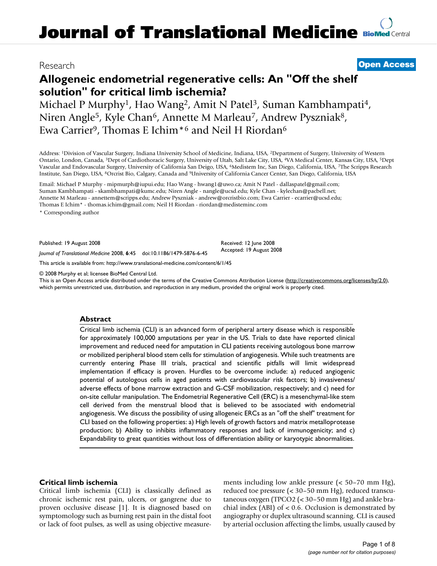## Research **[Open Access](http://www.biomedcentral.com/info/about/charter/)**

# **Allogeneic endometrial regenerative cells: An "Off the shelf solution" for critical limb ischemia?**

Michael P Murphy<sup>1</sup>, Hao Wang<sup>2</sup>, Amit N Patel<sup>3</sup>, Suman Kambhampati<sup>4</sup>, Niren Angle<sup>5</sup>, Kyle Chan<sup>6</sup>, Annette M Marleau<sup>7</sup>, Andrew Pyszniak<sup>8</sup>, Ewa Carrier<sup>9</sup>, Thomas E Ichim<sup>\*6</sup> and Neil H Riordan<sup>6</sup>

Address: 1Division of Vascular Surgery, Indiana University School of Medicine, Indiana, USA, 2Department of Surgery, University of Western Ontario, London, Canada, 3Dept of Cardiothoracic Surgery, University of Utah, Salt Lake City, USA, 4VA Medical Center, Kansas City, USA, 5Dept Vascular and Endovascular Surgery, University of California San Deigo, USA, 6Medistem Inc, San Diego, California, USA, 7The Scripps Research Institute, San Diego, USA, 8Orcrist Bio, Calgary, Canada and 9University of California Cancer Center, San Diego, California, USA

Email: Michael P Murphy - mipmurph@iupui.edu; Hao Wang - hwang1@uwo.ca; Amit N Patel - dallaspatel@gmail.com; Suman Kambhampati - skambhampati@kumc.edu; Niren Angle - nangle@ucsd.edu; Kyle Chan - kylechan@pacbell.net; Annette M Marleau - annettem@scripps.edu; Andrew Pyszniak - andrew@orcristbio.com; Ewa Carrier - ecarrier@ucsd.edu; Thomas E Ichim\* - thomas.ichim@gmail.com; Neil H Riordan - riordan@medisteminc.com

\* Corresponding author

Published: 19 August 2008

*Journal of Translational Medicine* 2008, **6**:45 doi:10.1186/1479-5876-6-45

[This article is available from: http://www.translational-medicine.com/content/6/1/45](http://www.translational-medicine.com/content/6/1/45)

© 2008 Murphy et al; licensee BioMed Central Ltd.

This is an Open Access article distributed under the terms of the Creative Commons Attribution License [\(http://creativecommons.org/licenses/by/2.0\)](http://creativecommons.org/licenses/by/2.0), which permits unrestricted use, distribution, and reproduction in any medium, provided the original work is properly cited.

Received: 12 June 2008 Accepted: 19 August 2008

#### **Abstract**

Critical limb ischemia (CLI) is an advanced form of peripheral artery disease which is responsible for approximately 100,000 amputations per year in the US. Trials to date have reported clinical improvement and reduced need for amputation in CLI patients receiving autologous bone marrow or mobilized peripheral blood stem cells for stimulation of angiogenesis. While such treatments are currently entering Phase III trials, practical and scientific pitfalls will limit widespread implementation if efficacy is proven. Hurdles to be overcome include: a) reduced angiogenic potential of autologous cells in aged patients with cardiovascular risk factors; b) invasiveness/ adverse effects of bone marrow extraction and G-CSF mobilization, respectively; and c) need for on-site cellular manipulation. The Endometrial Regenerative Cell (ERC) is a mesenchymal-like stem cell derived from the menstrual blood that is believed to be associated with endometrial angiogenesis. We discuss the possibility of using allogeneic ERCs as an "off the shelf" treatment for CLI based on the following properties: a) High levels of growth factors and matrix metalloprotease production; b) Ability to inhibits inflammatory responses and lack of immunogenicity; and c) Expandability to great quantities without loss of differentiation ability or karyotypic abnormalities.

### **Critical limb ischemia**

Critical limb ischemia (CLI) is classically defined as chronic ischemic rest pain, ulcers, or gangrene due to proven occlusive disease [1]. It is diagnosed based on symptomology such as burning rest pain in the distal foot or lack of foot pulses, as well as using objective measurements including low ankle pressure (< 50–70 mm Hg), reduced toe pressure (< 30–50 mm Hg), reduced transcutaneous oxygen (TPCO2 (< 30–50 mm Hg) and ankle brachial index (ABI) of < 0.6. Occlusion is demonstrated by angiography or duplex ultrasound scanning. CLI is caused by arterial occlusion affecting the limbs, usually caused by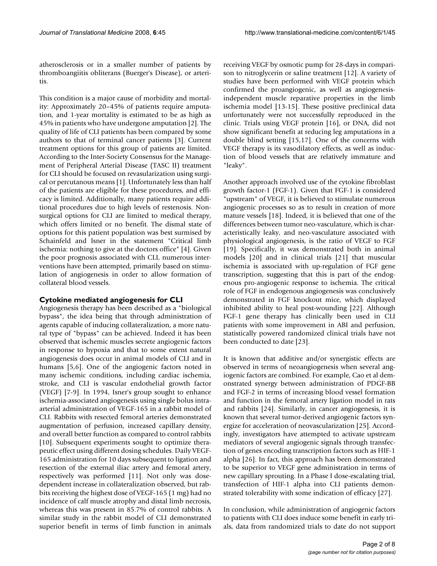atherosclerosis or in a smaller number of patients by thromboangiitis obliterans (Buerger's Disease), or arteritis.

This condition is a major cause of morbidity and mortality: Approximately 20–45% of patients require amputation, and 1-year mortality is estimated to be as high as 45% in patients who have undergone amputation [2]. The quality of life of CLI patients has been compared by some authors to that of terminal cancer patients [3]. Current treatment options for this group of patients are limited. According to the Inter-Society Consensus for the Management of Peripheral Arterial Disease (TASC II) treatment for CLI should be focused on revasularization using surgical or percutanous means [1]. Unfortunately less than half of the patients are eligible for these procedures, and efficacy is limited. Additionally, many patients require additional procedures due to high levels of restenosis. Nonsurgical options for CLI are limited to medical therapy, which offers limited or no benefit. The dismal state of options for this patient population was best surmised by Schainfeld and Isner in the statement "Critical limb ischemia: nothing to give at the doctors office" [4]. Given the poor prognosis associated with CLI, numerous interventions have been attempted, primarily based on stimulation of angiogenesis in order to allow formation of collateral blood vessels.

### **Cytokine mediated angiogenesis for CLI**

Angiogenesis therapy has been described as a "biological bypass", the idea being that through administration of agents capable of inducing collateralization, a more natural type of "bypass" can be achieved. Indeed it has been observed that ischemic muscles secrete angiogenic factors in response to hypoxia and that to some extent natural angiogenesis does occur in animal models of CLI and in humans [5,6]. One of the angiogenic factors noted in many ischemic conditions, including cardiac ischemia, stroke, and CLI is vascular endothelial growth factor (VEGF) [7-9]. In 1994, Isner's group sought to enhance ischemia-associated angiogenesis using single bolus intraarterial administration of VEGF-165 in a rabbit model of CLI. Rabbits with resected femoral arteries demonstrated augmentation of perfusion, increased capillary density, and overall better function as compared to control rabbits [10]. Subsequent experiments sought to optimize therapeutic effect using different dosing schedules. Daily VEGF-165 administration for 10 days subsequent to ligation and resection of the external iliac artery and femoral artery, respectively was performed [11]. Not only was dosedependent increase in collateralization observed, but rabbits receiving the highest dose of VEGF-165 (1 mg) had no incidence of calf muscle atrophy and distal limb necrosis, whereas this was present in 85.7% of control rabbits. A similar study in the rabbit model of CLI demonstrated superior benefit in terms of limb function in animals

receiving VEGF by osmotic pump for 28-days in comparison to nitroglycerin or saline treatment [12]. A variety of studies have been performed with VEGF protein which confirmed the proangiogenic, as well as angiogenesisindependent muscle reparative properties in the limb ischemia model [13-15]. These positive preclinical data unfortunately were not successfully reproduced in the clinic. Trials using VEGF protein [16], or DNA, did not show significant benefit at reducing leg amputations in a double blind setting [15,17]. One of the concerns with VEGF therapy is its vasodilatory effects, as well as induction of blood vessels that are relatively immature and "leaky".

Another approach involved use of the cytokine fibroblast growth factor-1 (FGF-1). Given that FGF-1 is considered "upstream" of VEGF, it is believed to stimulate numerous angiogenic processes so as to result in creation of more mature vessels [18]. Indeed, it is believed that one of the differences between tumor neo-vasculature, which is characteristically leaky, and neo-vasculature associated with physiological angiogenesis, is the ratio of VEGF to FGF [19]. Specifically, it was demonstrated both in animal models [20] and in clinical trials [21] that muscular ischemia is associated with up-regulation of FGF gene transcription, suggesting that this is part of the endogenous pro-angiogenic response to ischemia. The critical role of FGF in endogenous angiogenesis was conclusively demonstrated in FGF knockout mice, which displayed inhibited ability to heal post-wounding [22]. Although FGF-1 gene therapy has clinically been used in CLI patients with some improvement in ABI and perfusion, statistically powered randomized clinical trials have not been conducted to date [23].

It is known that additive and/or synergistic effects are observed in terms of neoangiogenesis when several angiogenic factors are combined. For example, Cao et al demonstrated synergy between administration of PDGF-BB and FGF-2 in terms of increasing blood vessel formation and function in the femoral artery ligation model in rats and rabbits [24]. Similarly, in cancer angiogenesis, it is known that several tumor-derived angiogenic factors synergize for acceleration of neovascularization [25]. Accordingly, investigators have attempted to activate upstream mediators of several angiogenic signals through transfection of genes encoding transcription factors such as HIF-1 alpha [26]. In fact, this approach has been demonstrated to be superior to VEGF gene administration in terms of new capillary sprouting. In a Phase I dose-escalating trial, transfection of HIF-1 alpha into CLI patients demonstrated tolerability with some indication of efficacy [27].

In conclusion, while administration of angiogenic factors to patients with CLI does induce some benefit in early trials, data from randomized trials to date do not support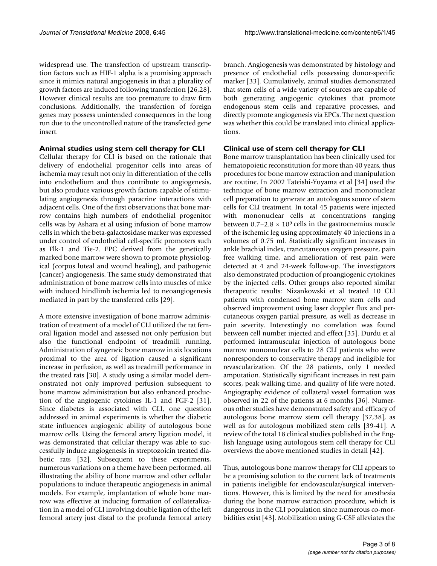widespread use. The transfection of upstream transcription factors such as HIF-1 alpha is a promising approach since it mimics natural angiogenesis in that a plurality of growth factors are induced following transfection [26,28]. However clinical results are too premature to draw firm conclusions. Additionally, the transfection of foreign genes may possess unintended consequences in the long run due to the uncontrolled nature of the transfected gene insert.

#### **Animal studies using stem cell therapy for CLI**

Cellular therapy for CLI is based on the rationale that delivery of endothelial progenitor cells into areas of ischemia may result not only in differentiation of the cells into endothelium and thus contribute to angiogenesis, but also produce various growth factors capable of stimulating angiogenesis through paracrine interactions with adjacent cells. One of the first observations that bone marrow contains high numbers of endothelial progenitor cells was by Ashara et al using infusion of bone marrow cells in which the beta-galactosidase marker was expressed under control of endothelial cell-specific promoters such as Flk-1 and Tie-2. EPC derived from the genetically marked bone marrow were shown to promote physiological (corpus luteal and wound healing), and pathogenic (cancer) angiogenesis. The same study demonstrated that administration of bone marrow cells into muscles of mice with induced hindlimb ischemia led to neoangiogenesis mediated in part by the transferred cells [29].

A more extensive investigation of bone marrow administration of treatment of a model of CLI utilized the rat femoral ligation model and assessed not only perfusion but also the functional endpoint of treadmill running. Administration of syngeneic bone marrow in six locations proximal to the area of ligation caused a significant increase in perfusion, as well as treadmill performance in the treated rats [30]. A study using a similar model demonstrated not only improved perfusion subsequent to bone marrow administration but also enhanced production of the angiogenic cytokines IL-1 and FGF-2 [31]. Since diabetes is associated with CLI, one question addressed in animal experiments is whether the diabetic state influences angiogenic ability of autologous bone marrow cells. Using the femoral artery ligation model, it was demonstrated that cellular therapy was able to successfully induce angiogenesis in streptozoicin treated diabetic rats [32]. Subsequent to these experiments, numerous variations on a theme have been performed, all illustrating the ability of bone marrow and other cellular populations to induce therapeutic angiogenesis in animal models. For example, implantation of whole bone marrow was effective at inducing formation of collateralization in a model of CLI involving double ligation of the left femoral artery just distal to the profunda femoral artery

branch. Angiogenesis was demonstrated by histology and presence of endothelial cells possessing donor-specific marker [33]. Cumulatively, animal studies demonstrated that stem cells of a wide variety of sources are capable of both generating angiogenic cytokines that promote endogenous stem cells and reparative processes, and directly promote angiogenesis via EPCs. The next question was whether this could be translated into clinical applications.

#### **Clinical use of stem cell therapy for CLI**

Bone marrow transplantation has been clinically used for hematopoietic reconstitution for more than 40 years, thus procedures for bone marrow extraction and manipulation are routine. In 2002 Tateishi-Yuyama et al [34] used the technique of bone marrow extraction and mononuclear cell preparation to generate an autologous source of stem cells for CLI treatment. In total 45 patients were injected with mononuclear cells at concentrations ranging between  $0.7-2.8 \times 10^9$  cells in the gastrocnemius muscle of the ischemic leg using approximately 40 injections in a volumes of 0.75 ml. Statistically significant increases in ankle brachial index, trancutaneous oxygen pressure, pain free walking time, and amelioration of rest pain were detected at 4 and 24-week follow-up. The investigators also demonstrated production of proangiogenic cytokines by the injected cells. Other groups also reported similar therapeutic results: Nizankowski et al treated 10 CLI patients with condensed bone marrow stem cells and observed improvement using laser doppler flux and percutaneous oxygen partial pressure, as well as decrease in pain severity. Interestingly no correlation was found between cell number injected and effect [35]. Durdu et al performed intramuscular injection of autologous bone marrow mononuclear cells to 28 CLI patients who were nonresponders to conservative therapy and ineligible for revascularization. Of the 28 patients, only 1 needed amputation. Statistically significant increases in rest pain scores, peak walking time, and quality of life were noted. Angiography evidence of collateral vessel formation was observed in 22 of the patients at 6 months [36]. Numerous other studies have demonstrated safety and efficacy of autologous bone marrow stem cell therapy [37,38], as well as for autologous mobilized stem cells [39-41]. A review of the total 18 clinical studies published in the English language using autologous stem cell therapy for CLI overviews the above mentioned studies in detail [42].

Thus, autologous bone marrow therapy for CLI appears to be a promising solution to the current lack of treatments in patients ineligible for endovascular/surgical interventions. However, this is limited by the need for anesthesia during the bone marrow extraction procedure, which is dangerous in the CLI population since numerous co-morbidities exist [43]. Mobilization using G-CSF alleviates the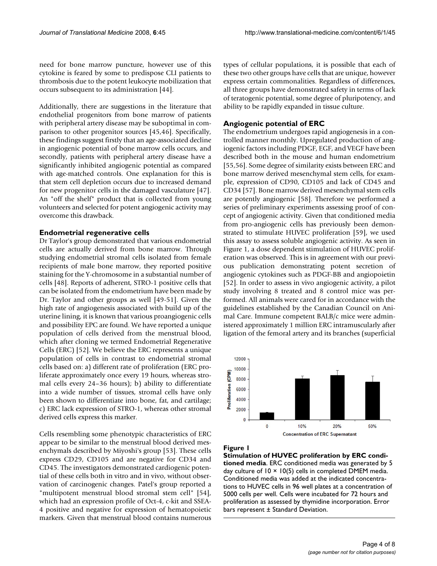need for bone marrow puncture, however use of this cytokine is feared by some to predispose CLI patients to thrombosis due to the potent leukocyte mobilization that occurs subsequent to its administration [44].

Additionally, there are suggestions in the literature that endothelial progenitors from bone marrow of patients with peripheral artery disease may be suboptimal in comparison to other progenitor sources [45,46]. Specifically, these findings suggest firstly that an age-associated decline in angiogenic potential of bone marrow cells occurs, and secondly, patients with peripheral artery disease have a significantly inhibited angiogenic potential as compared with age-matched controls. One explanation for this is that stem cell depletion occurs due to increased demand for new progenitor cells in the damaged vasculature [47]. An "off the shelf" product that is collected from young volunteers and selected for potent angiogenic activity may overcome this drawback.

#### **Endometrial regenerative cells**

Dr Taylor's group demonstrated that various endometrial cells are actually derived from bone marrow. Through studying endometrial stromal cells isolated from female recipients of male bone marrow, they reported positive staining for the Y-chromosome in a substantial number of cells [48]. Reports of adherent, STRO-1 positive cells that can be isolated from the endometrium have been made by Dr. Taylor and other groups as well [49-51]. Given the high rate of angiogenesis associated with build up of the uterine lining, it is known that various proangiogenic cells and possibility EPC are found. We have reported a unique population of cells derived from the menstrual blood, which after cloning we termed Endometrial Regenerative Cells (ERC) [52]. We believe the ERC represents a unique population of cells in contrast to endometrial stromal cells based on: a) different rate of proliferation (ERC proliferate approximately once every 19 hours, whereas stromal cells every 24–36 hours); b) ability to differentiate into a wide number of tissues, stromal cells have only been shown to differentiate into bone, fat, and cartilage; c) ERC lack expression of STRO-1, whereas other stromal derived cells express this marker.

Cells resembling some phenotypic characteristics of ERC appear to be similar to the menstrual blood derived mesenchymals described by Miyoshi's group [53]. These cells express CD29, CD105 and are negative for CD34 and CD45. The investigators demonstrated cardiogenic potential of these cells both in vitro and in vivo, without observation of carcinogenic changes. Patel's group reported a "multipotent menstrual blood stromal stem cell" [54], which had an expression profile of Oct-4, c-kit and SSEA-4 positive and negative for expression of hematopoietic markers. Given that menstrual blood contains numerous

types of cellular populations, it is possible that each of these two other groups have cells that are unique, however express certain commonalities. Regardless of differences, all three groups have demonstrated safety in terms of lack of teratogenic potential, some degree of pluripotency, and ability to be rapidly expanded in tissue culture.

#### **Angiogenic potential of ERC**

The endometrium undergoes rapid angiogenesis in a controlled manner monthly. Upregulated production of angiogenic factors including PDGF, EGF, and VEGF have been described both in the mouse and human endometrium [55,56]. Some degree of similarity exists between ERC and bone marrow derived mesenchymal stem cells, for example, expression of CD90, CD105 and lack of CD45 and CD34 [57]. Bone marrow derived mesenchymal stem cells are potently angiogenic [58]. Therefore we performed a series of preliminary experiments assessing proof of concept of angiogenic activity. Given that conditioned media from pro-angiogenic cells has previously been demonstrated to stimulate HUVEC proliferation [59], we used this assay to assess soluble angiogenic activity. As seen in Figure 1, a dose dependent stimulation of HUVEC proliferation was observed. This is in agreement with our previous publication demonstrating potent secretion of angiogenic cytokines such as PDGF-BB and angiopoietin [52]. In order to assess in vivo angiogenic activity, a pilot study involving 8 treated and 8 control mice was performed. All animals were cared for in accordance with the guidelines established by the Canadian Council on Animal Care. Immune competent BALB/c mice were administered approximately 1 million ERC intramuscularly after ligation of the femoral artery and its branches (superficial



#### Figure 1

**Stimulation of HUVEC proliferation by ERC conditioned media**. ERC conditioned media was generated by 5 day culture of  $10 \times 10(5)$  cells in completed DMEM media. Conditioned media was added at the indicated concentrations to HUVEC cells in 96 well plates at a concentration of 5000 cells per well. Cells were incubated for 72 hours and proliferation as assessed by thymidine incorporation. Error bars represent ± Standard Deviation.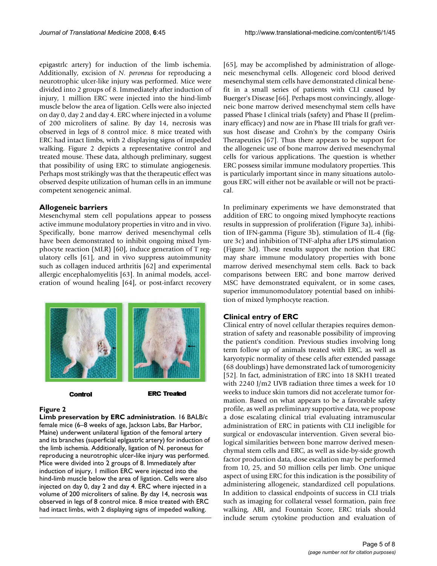epigastrlc artery) for induction of the limb ischemia. Additionally, excision of *N. peroneus* for reproducing a neurotrophic ulcer-like injury was performed. Mice were divided into 2 groups of 8. Immediately after induction of injury, 1 million ERC were injected into the hind-limb muscle below the area of ligation. Cells were also injected on day 0, day 2 and day 4. ERC where injected in a volume of 200 microliters of saline. By day 14, necrosis was observed in legs of 8 control mice. 8 mice treated with ERC had intact limbs, with 2 displaying signs of impeded walking. Figure 2 depicts a representative control and treated mouse. These data, although preliminary, suggest that possibility of using ERC to stimulate angiogenesis. Perhaps most strikingly was that the therapeutic effect was observed despite utilization of human cells in an immune competent xenogeneic animal.

#### **Allogeneic barriers**

Mesenchymal stem cell populations appear to possess active immune modulatory properties in vitro and in vivo. Specifically, bone marrow derived mesenchymal cells have been demonstrated to inhibit ongoing mixed lymphocyte reaction (MLR) [60], induce generation of T regulatory cells [61], and in vivo suppress autoimmunity such as collagen induced arthritis [62] and experimental allergic encephalomyelitis [63]. In animal models, acceleration of wound healing [64], or post-infarct recovery



#### Control

**ERC Treated** 

#### **Figure 2**

**Limb preservation by ERC administration**. 16 BALB/c female mice (6–8 weeks of age, Jackson Labs, Bar Harbor, Maine) underwent unilateral ligation of the femoral artery and its branches (superficial eplgastrlc artery) for induction of the limb ischemia. Additionally, ligation of N. peroneus for reproducing a neurotrophic ulcer-like injury was performed. Mice were divided into 2 groups of 8. Immediately after induction of injury, 1 million ERC were injected into the hind-limb muscle below the area of ligation. Cells were also injected on day 0, day 2 and day 4. ERC where injected in a volume of 200 microliters of saline. By day 14, necrosis was observed in legs of 8 control mice. 8 mice treated with ERC had intact limbs, with 2 displaying signs of impeded walking.

[65], may be accomplished by administration of allogeneic mesenchymal cells. Allogeneic cord blood derived mesenchymal stem cells have demonstrated clinical benefit in a small series of patients with CLI caused by Buerger's Disease [66]. Perhaps most convincingly, allogeneic bone marrow derived mesenchymal stem cells have passed Phase I clinical trials (safety) and Phase II (preliminary efficacy) and now are in Phase III trials for graft versus host disease and Crohn's by the company Osiris Therapeutics [67]. Thus there appears to be support for the allogeneic use of bone marrow derived mesenchymal cells for various applications. The question is whether ERC possess similar immune modulatory properties. This is particularly important since in many situations autologous ERC will either not be available or will not be practical.

In preliminary experiments we have demonstrated that addition of ERC to ongoing mixed lymphocyte reactions results in suppression of proliferation (Figure 3a), inhibition of IFN-gamma (Figure 3b), stimulation of IL-4 (figure 3c) and inhibition of TNF-alpha after LPS stimulation (Figure 3d). These results support the notion that ERC may share immune modulatory properties with bone marrow derived mesenchymal stem cells. Back to back comparisons between ERC and bone marrow derived MSC have demonstrated equivalent, or in some cases, superior immunomodulatory potential based on inhibition of mixed lymphocyte reaction.

### **Clinical entry of ERC**

Clinical entry of novel cellular therapies requires demonstration of safety and reasonable possibility of improving the patient's condition. Previous studies involving long term follow up of animals treated with ERC, as well as karyotypic normality of these cells after extended passage (68 doublings) have demonstrated lack of tumorogenicity [52]. In fact, administration of ERC into 18 SKH1 treated with 2240 J/m2 UVB radiation three times a week for 10 weeks to induce skin tumors did not accelerate tumor formation. Based on what appears to be a favorable safety profile, as well as preliminary supportive data, we propose a dose escalating clinical trial evaluating intramuscular administration of ERC in patients with CLI ineligible for surgical or endovascular intervention. Given several biological similarities between bone marrow derived mesenchymal stem cells and ERC, as well as side-by-side growth factor production data, dose escalation may be performed from 10, 25, and 50 million cells per limb. One unique aspect of using ERC for this indication is the possibility of administering allogeneic, standardized cell populations. In addition to classical endpoints of success in CLI trials such as imaging for collateral vessel formation, pain free walking, ABI, and Fountain Score, ERC trials should include serum cytokine production and evaluation of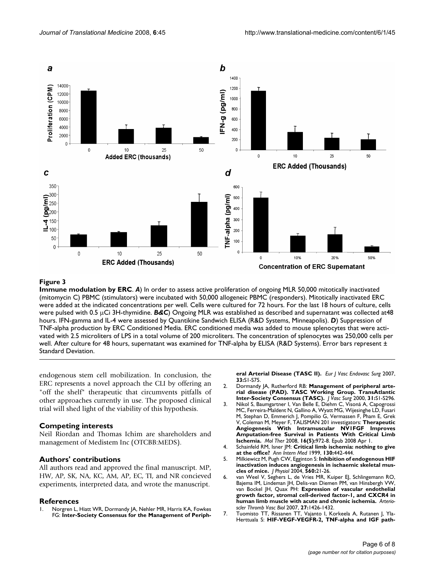

#### **Figure 3**

**Immune modulation by ERC**. *A*) In order to assess active proliferation of ongoing MLR 50,000 mitotically inactivated (mitomycin C) PBMC (stimulators) were incubated with 50,000 allogeneic PBMC (responders). Mitotically inactivated ERC were added at the indicated concentrations per well. Cells were cultured for 72 hours. For the last 18 hours of culture, cells were pulsed with 0.5 μCi 3H-thymidine. *B&C*) Ongoing MLR was established as described and supernatant was collected at48 hours. IFN-gamma and IL-4 were assessed by Quantikine Sandwich ELISA (R&D Systems, Minneapolis). *D*) Suppression of TNF-alpha production by ERC Conditioned Media. ERC conditioned media was added to mouse splenocytes that were activated with 2.5 microliters of LPS in a total volume of 200 microliters. The concentration of splenocytes was 250,000 cells per well. After culture for 48 hours, supernatant was examined for TNF-alpha by ELISA (R&D Systems). Error bars represent ± Standard Deviation.

endogenous stem cell mobilization. In conclusion, the ERC represents a novel approach the CLI by offering an "off the shelf" therapeutic that circumvents pitfalls of other approaches currently in use. The proposed clinical trial will shed light of the viability of this hypothesis.

#### **Competing interests**

Neil Riordan and Thomas Ichim are shareholders and management of Medistem Inc (OTCBB:MEDS).

#### **Authors' contributions**

All authors read and approved the final manuscript. MP, HW, AP, SK, NA, KC, AM, AP, EC, TI, and NR concieved experiments, interpreted data, and wrote the manuscript.

#### **References**

1. Norgren L, Hiatt WR, Dormandy JA, Nehler MR, Harris KA, Fowkes FG: **[Inter-Society Consensus for the Management of Periph-](http://www.ncbi.nlm.nih.gov/entrez/query.fcgi?cmd=Retrieve&db=PubMed&dopt=Abstract&list_uids=17140820)** **[eral Arterial Disease \(TASC II\).](http://www.ncbi.nlm.nih.gov/entrez/query.fcgi?cmd=Retrieve&db=PubMed&dopt=Abstract&list_uids=17140820)** *Eur J Vasc Endovasc Surg* 2007, **33:**S1-S75.

- 2. Dormandy JA, Rutherford RB: **[Management of peripheral arte](http://www.ncbi.nlm.nih.gov/entrez/query.fcgi?cmd=Retrieve&db=PubMed&dopt=Abstract&list_uids=10666287)[rial disease \(PAD\). TASC Working Group. TransAtlantic](http://www.ncbi.nlm.nih.gov/entrez/query.fcgi?cmd=Retrieve&db=PubMed&dopt=Abstract&list_uids=10666287) [Inter-Society Consensus \(TASC\).](http://www.ncbi.nlm.nih.gov/entrez/query.fcgi?cmd=Retrieve&db=PubMed&dopt=Abstract&list_uids=10666287)** *J Vasc Surg* 2000, **31:**S1-S296.
- 3. Nikol S, Baumgartner I, Van Belle E, Diehm C, Visoná A, Capogrossi MC, Ferreira-Maldent N, Gallino A, Wyatt MG, Wijesinghe LD, Fusari M, Stephan D, Emmerich J, Pompilio G, Vermassen F, Pham E, Grek V, Coleman M, Meyer F, TALISMAN 201 investigators: **[Therapeutic](http://www.ncbi.nlm.nih.gov/entrez/query.fcgi?cmd=Retrieve&db=PubMed&dopt=Abstract&list_uids=18388929) [Angiogenesis With Intramuscular NV1FGF Improves](http://www.ncbi.nlm.nih.gov/entrez/query.fcgi?cmd=Retrieve&db=PubMed&dopt=Abstract&list_uids=18388929) Amputation-free Survival in Patients With Critical Limb [Ischemia.](http://www.ncbi.nlm.nih.gov/entrez/query.fcgi?cmd=Retrieve&db=PubMed&dopt=Abstract&list_uids=18388929)** *Mol Ther* 2008, **16(5):**972-8. Epub 2008 Apr 1.
- 4. Schainfeld RM, Isner JM: **[Critical limb ischemia: nothing to give](http://www.ncbi.nlm.nih.gov/entrez/query.fcgi?cmd=Retrieve&db=PubMed&dopt=Abstract&list_uids=10068420) [at the office?](http://www.ncbi.nlm.nih.gov/entrez/query.fcgi?cmd=Retrieve&db=PubMed&dopt=Abstract&list_uids=10068420)** *Ann Intern Med* 1999, **130:**442-444.
- 5. Milkiewicz M, Pugh CW, Egginton S: **[Inhibition of endogenous HIF](http://www.ncbi.nlm.nih.gov/entrez/query.fcgi?cmd=Retrieve&db=PubMed&dopt=Abstract&list_uids=15319416) [inactivation induces angiogenesis in ischaemic skeletal mus](http://www.ncbi.nlm.nih.gov/entrez/query.fcgi?cmd=Retrieve&db=PubMed&dopt=Abstract&list_uids=15319416)[cles of mice.](http://www.ncbi.nlm.nih.gov/entrez/query.fcgi?cmd=Retrieve&db=PubMed&dopt=Abstract&list_uids=15319416)** *J Physiol* 2004, **560:**21-26.
- 6. van Weel V, Seghers L, de Vries MR, Kuiper EJ, Schlingemann RO, Bajema IM, Lindeman JH, Delis-van Diemen PM, van Hinsbergh VW, van Bockel JH, Quax PH: **[Expression of vascular endothelial](http://www.ncbi.nlm.nih.gov/entrez/query.fcgi?cmd=Retrieve&db=PubMed&dopt=Abstract&list_uids=17363691) [growth factor, stromal cell-derived factor-1, and CXCR4 in](http://www.ncbi.nlm.nih.gov/entrez/query.fcgi?cmd=Retrieve&db=PubMed&dopt=Abstract&list_uids=17363691) [human limb muscle with acute and chronic ischemia.](http://www.ncbi.nlm.nih.gov/entrez/query.fcgi?cmd=Retrieve&db=PubMed&dopt=Abstract&list_uids=17363691)** *Arterioscler Thromb Vasc Biol* 2007, **27:**1426-1432.
- 7. Tuomisto TT, Rissanen TT, Vajanto I, Korkeela A, Rutanen J, Yla-Herttuala S: **[HIF-VEGF-VEGFR-2, TNF-alpha and IGF path](http://www.ncbi.nlm.nih.gov/entrez/query.fcgi?cmd=Retrieve&db=PubMed&dopt=Abstract&list_uids=15135259)-**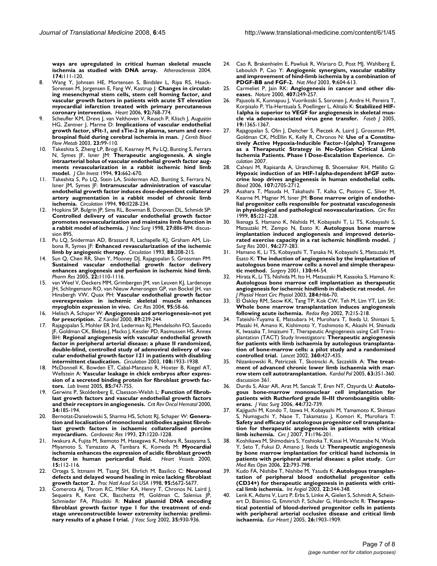**[ways are upregulated in critical human skeletal muscle](http://www.ncbi.nlm.nih.gov/entrez/query.fcgi?cmd=Retrieve&db=PubMed&dopt=Abstract&list_uids=15135259) [ischemia as studied with DNA array.](http://www.ncbi.nlm.nih.gov/entrez/query.fcgi?cmd=Retrieve&db=PubMed&dopt=Abstract&list_uids=15135259)** *Atherosclerosis* 2004, **174:**111-120.

- 8. Wang Y, Johnsen HE, Mortensen S, Bindslev L, Ripa RS, Haack-Sorensen M, Jorgensen E, Fang W, Kastrup J: **[Changes in circulat](http://www.ncbi.nlm.nih.gov/entrez/query.fcgi?cmd=Retrieve&db=PubMed&dopt=Abstract&list_uids=16251230)[ing mesenchymal stem cells, stem cell homing factor, and](http://www.ncbi.nlm.nih.gov/entrez/query.fcgi?cmd=Retrieve&db=PubMed&dopt=Abstract&list_uids=16251230) vascular growth factors in patients with acute ST elevation myocardial infarction treated with primary percutaneous [coronary intervention.](http://www.ncbi.nlm.nih.gov/entrez/query.fcgi?cmd=Retrieve&db=PubMed&dopt=Abstract&list_uids=16251230)** *Heart* 2006, **92:**768-774.
- 9. Scheufler KM, Drevs J, van Velthoven V, Reusch P, Klisch J, Augustin HG, Zentner J, Marme D: **[Implications of vascular endothelial](http://www.ncbi.nlm.nih.gov/entrez/query.fcgi?cmd=Retrieve&db=PubMed&dopt=Abstract&list_uids=12500095) [growth factor, sFlt-1, and sTie-2 in plasma, serum and cere](http://www.ncbi.nlm.nih.gov/entrez/query.fcgi?cmd=Retrieve&db=PubMed&dopt=Abstract&list_uids=12500095)[brospinal fluid during cerebral ischemia in man.](http://www.ncbi.nlm.nih.gov/entrez/query.fcgi?cmd=Retrieve&db=PubMed&dopt=Abstract&list_uids=12500095)** *J Cereb Blood Flow Metab* 2003, **23:**99-110.
- 10. Takeshita S, Zheng LP, Brogi E, Kearney M, Pu LQ, Bunting S, Ferrara N, Symes JF, Isner JM: **[Therapeutic angiogenesis. A single](http://www.ncbi.nlm.nih.gov/entrez/query.fcgi?cmd=Retrieve&db=PubMed&dopt=Abstract&list_uids=7509344) [intraarterial bolus of vascular endothelial growth factor aug](http://www.ncbi.nlm.nih.gov/entrez/query.fcgi?cmd=Retrieve&db=PubMed&dopt=Abstract&list_uids=7509344)ments revascularization in a rabbit ischemic hind limb [model.](http://www.ncbi.nlm.nih.gov/entrez/query.fcgi?cmd=Retrieve&db=PubMed&dopt=Abstract&list_uids=7509344)** *J Clin Invest* 1994, **93:**662-670.
- 11. Takeshita S, Pu LQ, Stein LA, Sniderman AD, Bunting S, Ferrara N, Isner JM, Symes JF: **[Intramuscular administration of vascular](http://www.ncbi.nlm.nih.gov/entrez/query.fcgi?cmd=Retrieve&db=PubMed&dopt=Abstract&list_uids=7525111) [endothelial growth factor induces dose-dependent collateral](http://www.ncbi.nlm.nih.gov/entrez/query.fcgi?cmd=Retrieve&db=PubMed&dopt=Abstract&list_uids=7525111) artery augmentation in a rabbit model of chronic limb [ischemia.](http://www.ncbi.nlm.nih.gov/entrez/query.fcgi?cmd=Retrieve&db=PubMed&dopt=Abstract&list_uids=7525111)** *Circulation* 1994, **90:**II228-234.
- 12. Hopkins SP, Bulgrin JP, Sims RL, Bowman B, Donovan DL, Schmidt SP: **[Controlled delivery of vascular endothelial growth factor](http://www.ncbi.nlm.nih.gov/entrez/query.fcgi?cmd=Retrieve&db=PubMed&dopt=Abstract&list_uids=9620141) promotes neovascularization and maintains limb function in [a rabbit model of ischemia.](http://www.ncbi.nlm.nih.gov/entrez/query.fcgi?cmd=Retrieve&db=PubMed&dopt=Abstract&list_uids=9620141)** *J Vasc Surg* 1998, **27:**886-894. discussion 895.
- 13. Pu LQ, Sniderman AD, Brassard R, Lachapelle KJ, Graham AM, Lisbona R, Symes JF: **[Enhanced revascularization of the ischemic](http://www.ncbi.nlm.nih.gov/entrez/query.fcgi?cmd=Retrieve&db=PubMed&dopt=Abstract&list_uids=8319335) [limb by angiogenic therapy.](http://www.ncbi.nlm.nih.gov/entrez/query.fcgi?cmd=Retrieve&db=PubMed&dopt=Abstract&list_uids=8319335)** *Circulation* 1993, **88:**208-215.
- 14. Sun Q, Chen RR, Shen Y, Mooney DJ, Rajagopalan S, Grossman PM: **[Sustained vascular endothelial growth factor delivery](http://www.ncbi.nlm.nih.gov/entrez/query.fcgi?cmd=Retrieve&db=PubMed&dopt=Abstract&list_uids=16028011) enhances angiogenesis and perfusion in ischemic hind limb.** *Pharm Res* 2005, **22:**1110-1116.
- 15. van Weel V, Deckers MM, Grimbergen JM, van Leuven KJ, Lardenoye JH, Schlingemann RO, van Nieuw Amerongen GP, van Bockel JH, van Hinsbergh VW, Quax PH: **[Vascular endothelial growth factor](http://www.ncbi.nlm.nih.gov/entrez/query.fcgi?cmd=Retrieve&db=PubMed&dopt=Abstract&list_uids=15155530) [overexpression in ischemic skeletal muscle enhances](http://www.ncbi.nlm.nih.gov/entrez/query.fcgi?cmd=Retrieve&db=PubMed&dopt=Abstract&list_uids=15155530) [myoglobin expression in vivo.](http://www.ncbi.nlm.nih.gov/entrez/query.fcgi?cmd=Retrieve&db=PubMed&dopt=Abstract&list_uids=15155530)** *Circ Res* 2004, **95:**58-66.
- 16. Helisch A, Schaper W: **[Angiogenesis and arteriogenesis–not yet](http://www.ncbi.nlm.nih.gov/entrez/query.fcgi?cmd=Retrieve&db=PubMed&dopt=Abstract&list_uids=10798281) [for prescription.](http://www.ncbi.nlm.nih.gov/entrez/query.fcgi?cmd=Retrieve&db=PubMed&dopt=Abstract&list_uids=10798281)** *Z Kardiol* 2000, **89:**239-244.
- 17. Rajagopalan S, Mohler ER 3rd, Lederman RJ, Mendelsohn FO, Saucedo JF, Goldman CK, Blebea J, Macko J, Kessler PD, Rasmussen HS, Annex BH: **[Regional angiogenesis with vascular endothelial growth](http://www.ncbi.nlm.nih.gov/entrez/query.fcgi?cmd=Retrieve&db=PubMed&dopt=Abstract&list_uids=14504183) [factor in peripheral arterial disease: a phase II randomized,](http://www.ncbi.nlm.nih.gov/entrez/query.fcgi?cmd=Retrieve&db=PubMed&dopt=Abstract&list_uids=14504183) double-blind, controlled study of adenoviral delivery of vascular endothelial growth factor 121 in patients with disabling [intermittent claudication.](http://www.ncbi.nlm.nih.gov/entrez/query.fcgi?cmd=Retrieve&db=PubMed&dopt=Abstract&list_uids=14504183)** *Circulation* 2003, **108:**1933-1938.
- 18. McDonnell K, Bowden ET, Cabal-Manzano R, Hoxter B, Riegel AT, Wellstein A: **[Vascular leakage in chick embryos after expres](http://www.ncbi.nlm.nih.gov/entrez/query.fcgi?cmd=Retrieve&db=PubMed&dopt=Abstract&list_uids=15806140)[sion of a secreted binding protein for fibroblast growth fac](http://www.ncbi.nlm.nih.gov/entrez/query.fcgi?cmd=Retrieve&db=PubMed&dopt=Abstract&list_uids=15806140)[tors.](http://www.ncbi.nlm.nih.gov/entrez/query.fcgi?cmd=Retrieve&db=PubMed&dopt=Abstract&list_uids=15806140)** *Lab Invest* 2005, **85:**747-755.
- Gerwins P, Skoldenberg E, Claesson-Welsh L: [Function of fibrob](http://www.ncbi.nlm.nih.gov/entrez/query.fcgi?cmd=Retrieve&db=PubMed&dopt=Abstract&list_uids=10838264)**[last growth factors and vascular endothelial growth factors](http://www.ncbi.nlm.nih.gov/entrez/query.fcgi?cmd=Retrieve&db=PubMed&dopt=Abstract&list_uids=10838264) [and their receptors in angiogenesis.](http://www.ncbi.nlm.nih.gov/entrez/query.fcgi?cmd=Retrieve&db=PubMed&dopt=Abstract&list_uids=10838264)** *Crit Rev Oncol Hematol* 2000, **34:**185-194.
- 20. Bernotat-Danielowski S, Sharma HS, Schott RJ, Schaper W: **[Genera](http://www.ncbi.nlm.nih.gov/entrez/query.fcgi?cmd=Retrieve&db=PubMed&dopt=Abstract&list_uids=7504586)[tion and localisation of monoclonal antibodies against fibrob](http://www.ncbi.nlm.nih.gov/entrez/query.fcgi?cmd=Retrieve&db=PubMed&dopt=Abstract&list_uids=7504586)last growth factors in ischaemic collateralised porcine [myocardium.](http://www.ncbi.nlm.nih.gov/entrez/query.fcgi?cmd=Retrieve&db=PubMed&dopt=Abstract&list_uids=7504586)** *Cardiovasc Res* 1993, **27:**1220-1228.
- Iwakura A, Fujita M, Ikemoto M, Hasegawa K, Nohara R, Sasayama S, Miyamoto S, Yamazato A, Tambara K, Komeda M: **[Myocardial](http://www.ncbi.nlm.nih.gov/entrez/query.fcgi?cmd=Retrieve&db=PubMed&dopt=Abstract&list_uids=11289498) [ischemia enhances the expression of acidic fibroblast growth](http://www.ncbi.nlm.nih.gov/entrez/query.fcgi?cmd=Retrieve&db=PubMed&dopt=Abstract&list_uids=11289498) [factor in human pericardial fluid.](http://www.ncbi.nlm.nih.gov/entrez/query.fcgi?cmd=Retrieve&db=PubMed&dopt=Abstract&list_uids=11289498)** *Heart Vessels* 2000, **15:**112-116.
- 22. Ortega S, Ittmann M, Tsang SH, Ehrlich M, Basilico C: **[Neuronal](http://www.ncbi.nlm.nih.gov/entrez/query.fcgi?cmd=Retrieve&db=PubMed&dopt=Abstract&list_uids=9576942) [defects and delayed wound healing in mice lacking fibroblast](http://www.ncbi.nlm.nih.gov/entrez/query.fcgi?cmd=Retrieve&db=PubMed&dopt=Abstract&list_uids=9576942) [growth factor 2.](http://www.ncbi.nlm.nih.gov/entrez/query.fcgi?cmd=Retrieve&db=PubMed&dopt=Abstract&list_uids=9576942)** *Proc Natl Acad Sci USA* 1998, **95:**5672-5677.
- 23. Comerota AJ, Throm RC, Miller KA, Henry T, Chronos N, Laird J, Sequeira R, Kent CK, Bacchetta M, Goldman C, Salenius JP, Schmieder FA, Pilsudski R: **[Naked plasmid DNA encoding](http://www.ncbi.nlm.nih.gov/entrez/query.fcgi?cmd=Retrieve&db=PubMed&dopt=Abstract&list_uids=12021709) [fibroblast growth factor type 1 for the treatment of end](http://www.ncbi.nlm.nih.gov/entrez/query.fcgi?cmd=Retrieve&db=PubMed&dopt=Abstract&list_uids=12021709)stage unreconstructible lower extremity ischemia: prelimi[nary results of a phase I trial.](http://www.ncbi.nlm.nih.gov/entrez/query.fcgi?cmd=Retrieve&db=PubMed&dopt=Abstract&list_uids=12021709)** *J Vasc Surg* 2002, **35:**930-936.
- 24. Cao R, Brakenhielm E, Pawliuk R, Wariaro D, Post MJ, Wahlberg E, Leboulch P, Cao Y: **[Angiogenic synergism, vascular stability](http://www.ncbi.nlm.nih.gov/entrez/query.fcgi?cmd=Retrieve&db=PubMed&dopt=Abstract&list_uids=12669032) [and improvement of hind-limb ischemia by a combination of](http://www.ncbi.nlm.nih.gov/entrez/query.fcgi?cmd=Retrieve&db=PubMed&dopt=Abstract&list_uids=12669032) [PDGF-BB and FGF-2.](http://www.ncbi.nlm.nih.gov/entrez/query.fcgi?cmd=Retrieve&db=PubMed&dopt=Abstract&list_uids=12669032)** *Nat Med* 2003, **9:**604-613.
- 25. Carmeliet P, Jain RK: **[Angiogenesis in cancer and other dis](http://www.ncbi.nlm.nih.gov/entrez/query.fcgi?cmd=Retrieve&db=PubMed&dopt=Abstract&list_uids=11001068)[eases.](http://www.ncbi.nlm.nih.gov/entrez/query.fcgi?cmd=Retrieve&db=PubMed&dopt=Abstract&list_uids=11001068)** *Nature* 2000, **407:**249-257.
- 26. Pajusola K, Kunnapuu J, Vuorikoski S, Soronen J, Andre H, Pereira T, Korpisalo P, Yla-Herttuala S, Poellinger L, Alitalo K: **[Stabilized HIF-](http://www.ncbi.nlm.nih.gov/entrez/query.fcgi?cmd=Retrieve&db=PubMed&dopt=Abstract&list_uids=15958522)[1alpha is superior to VEGF for angiogenesis in skeletal mus](http://www.ncbi.nlm.nih.gov/entrez/query.fcgi?cmd=Retrieve&db=PubMed&dopt=Abstract&list_uids=15958522)[cle via adeno-associated virus gene transfer.](http://www.ncbi.nlm.nih.gov/entrez/query.fcgi?cmd=Retrieve&db=PubMed&dopt=Abstract&list_uids=15958522)** *Faseb J* 2005, **19:**1365-1367.
- Rajagopalan S, Olin J, Deitcher S, Pieczek A, Laird J, Grossman PM, Goldman CK, McEllin K, Kelly R, Chronos N: **[Use of a Constitu](http://www.ncbi.nlm.nih.gov/entrez/query.fcgi?cmd=Retrieve&db=PubMed&dopt=Abstract&list_uids=17309918)[tively Active Hypoxia-Inducible Factor-1{alpha} Transgene](http://www.ncbi.nlm.nih.gov/entrez/query.fcgi?cmd=Retrieve&db=PubMed&dopt=Abstract&list_uids=17309918) as a Therapeutic Strategy in No-Option Critical Limb [Ischemia Patients. Phase I Dose-Escalation Experience.](http://www.ncbi.nlm.nih.gov/entrez/query.fcgi?cmd=Retrieve&db=PubMed&dopt=Abstract&list_uids=17309918)** *Circulation* 2007.
- 28. Calvani M, Rapisarda A, Uranchimeg B, Shoemaker RH, Melillo G: **Hypoxic induction of an HIF-1alpha-dependent bFGF auto[crine loop drives angiogenesis in human endothelial cells.](http://www.ncbi.nlm.nih.gov/entrez/query.fcgi?cmd=Retrieve&db=PubMed&dopt=Abstract&list_uids=16304044)** *Blood* 2006, **107:**2705-2712.
- Asahara T, Masuda H, Takahashi T, Kalka C, Pastore C, Silver M, Kearne M, Magner M, Isner JM: **[Bone marrow origin of endothe](http://www.ncbi.nlm.nih.gov/entrez/query.fcgi?cmd=Retrieve&db=PubMed&dopt=Abstract&list_uids=10436164)[lial progenitor cells responsible for postnatal vasculogenesis](http://www.ncbi.nlm.nih.gov/entrez/query.fcgi?cmd=Retrieve&db=PubMed&dopt=Abstract&list_uids=10436164) [in physiological and pathological neovascularization.](http://www.ncbi.nlm.nih.gov/entrez/query.fcgi?cmd=Retrieve&db=PubMed&dopt=Abstract&list_uids=10436164)** *Circ Res* 1999, **85:**221-228.
- Ikenaga S, Hamano K, Nishida M, Kobayashi T, Li TS, Kobayashi S, Matsuzaki M, Zempo N, Esato K: **[Autologous bone marrow](http://www.ncbi.nlm.nih.gov/entrez/query.fcgi?cmd=Retrieve&db=PubMed&dopt=Abstract&list_uids=11266284) [implantation induced angiogenesis and improved deterio](http://www.ncbi.nlm.nih.gov/entrez/query.fcgi?cmd=Retrieve&db=PubMed&dopt=Abstract&list_uids=11266284)[rated exercise capacity in a rat ischemic hindlimb model.](http://www.ncbi.nlm.nih.gov/entrez/query.fcgi?cmd=Retrieve&db=PubMed&dopt=Abstract&list_uids=11266284)** *J Surg Res* 2001, **96:**277-283.
- 31. Hamano K, Li TS, Kobayashi T, Tanaka N, Kobayashi S, Matsuzaki M, Esato K: **[The induction of angiogenesis by the implantation of](http://www.ncbi.nlm.nih.gov/entrez/query.fcgi?cmd=Retrieve&db=PubMed&dopt=Abstract&list_uids=11436011) [autologous bone marrow cells: a novel and simple therapeu](http://www.ncbi.nlm.nih.gov/entrez/query.fcgi?cmd=Retrieve&db=PubMed&dopt=Abstract&list_uids=11436011)[tic method.](http://www.ncbi.nlm.nih.gov/entrez/query.fcgi?cmd=Retrieve&db=PubMed&dopt=Abstract&list_uids=11436011)** *Surgery* 2001, **130:**44-54.
- 32. Hirata K, Li TS, Nishida M, Ito H, Matsuzaki M, Kasaoka S, Hamano K: **[Autologous bone marrow cell implantation as therapeutic](http://www.ncbi.nlm.nih.gov/entrez/query.fcgi?cmd=Retrieve&db=PubMed&dopt=Abstract&list_uids=12388231) [angiogenesis for ischemic hindlimb in diabetic rat model.](http://www.ncbi.nlm.nih.gov/entrez/query.fcgi?cmd=Retrieve&db=PubMed&dopt=Abstract&list_uids=12388231)** *Am J Physiol Heart Circ Physiol* 2003, **284:**H66-70.
- El Oakley RM, Seow KK, Tang TP, Kok CW, Teh M, Lim YT, Lim SK: **[Whole bone marrow transplantation induces angiogenesis](http://www.ncbi.nlm.nih.gov/entrez/query.fcgi?cmd=Retrieve&db=PubMed&dopt=Abstract&list_uids=12396666) [following acute ischemia.](http://www.ncbi.nlm.nih.gov/entrez/query.fcgi?cmd=Retrieve&db=PubMed&dopt=Abstract&list_uids=12396666)** *Redox Rep* 2002, **7:**215-218.
- 34. Tateishi-Yuyama E, Matsubara H, Murohara T, Ikeda U, Shintani S, Masaki H, Amano K, Kishimoto Y, Yoshimoto K, Akashi H, Shimada K, Iwasaka T, Imaizumi T, Therapeutic Angiogenesis using Cell Transplantation (TACT) Study Investigators: **[Therapeutic angiogenesis](http://www.ncbi.nlm.nih.gov/entrez/query.fcgi?cmd=Retrieve&db=PubMed&dopt=Abstract&list_uids=12241713) [for patients with limb ischaemia by autologous transplanta](http://www.ncbi.nlm.nih.gov/entrez/query.fcgi?cmd=Retrieve&db=PubMed&dopt=Abstract&list_uids=12241713)tion of bone-marrow cells: a pilot study and a randomised [controlled trial.](http://www.ncbi.nlm.nih.gov/entrez/query.fcgi?cmd=Retrieve&db=PubMed&dopt=Abstract&list_uids=12241713)** *Lancet* 2002, **360:**427-435.
- 35. Nizankowski R, Petriczek T, Skotnicki A, Szczeklik A: **[The treat](http://www.ncbi.nlm.nih.gov/entrez/query.fcgi?cmd=Retrieve&db=PubMed&dopt=Abstract&list_uids=16273471)[ment of advanced chronic lower limb ischaemia with mar](http://www.ncbi.nlm.nih.gov/entrez/query.fcgi?cmd=Retrieve&db=PubMed&dopt=Abstract&list_uids=16273471)[row stem cell autotransplantation.](http://www.ncbi.nlm.nih.gov/entrez/query.fcgi?cmd=Retrieve&db=PubMed&dopt=Abstract&list_uids=16273471)** *Kardiol Pol* 2005, **63:**351-360. discussion 361.
- 36. Durdu S, Akar AR, Arat M, Sancak T, Eren NT, Ozyurda U: **[Autolo](http://www.ncbi.nlm.nih.gov/entrez/query.fcgi?cmd=Retrieve&db=PubMed&dopt=Abstract&list_uids=16926085)[gous bone-marrow mononuclear cell implantation for](http://www.ncbi.nlm.nih.gov/entrez/query.fcgi?cmd=Retrieve&db=PubMed&dopt=Abstract&list_uids=16926085) patients with Rutherford grade II–III thromboangiitis oblit[erans.](http://www.ncbi.nlm.nih.gov/entrez/query.fcgi?cmd=Retrieve&db=PubMed&dopt=Abstract&list_uids=16926085)** *J Vasc Surg* 2006, **44:**732-739.
- Kajiguchi M, Kondo T, Izawa H, Kobayashi M, Yamamoto K, Shintani S, Numaguchi Y, Naoe T, Takamatsu J, Komori K, Murohara T: **[Safety and efficacy of autologous progenitor cell transplanta](http://www.ncbi.nlm.nih.gov/entrez/query.fcgi?cmd=Retrieve&db=PubMed&dopt=Abstract&list_uids=17251666)tion for therapeutic angiogenesis in patients with critical [limb ischemia.](http://www.ncbi.nlm.nih.gov/entrez/query.fcgi?cmd=Retrieve&db=PubMed&dopt=Abstract&list_uids=17251666)** *Circ J* 2007, **71:**196-201.
- 38. Koshikawa M, Shimodaira S, Yoshioka T, Kasai H, Watanabe N, Wada Y, Seto T, Fukui D, Amano J, Ikeda U: **[Therapeutic angiogenesis](http://www.ncbi.nlm.nih.gov/entrez/query.fcgi?cmd=Retrieve&db=PubMed&dopt=Abstract&list_uids=16684440) [by bone marrow implantation for critical hand ischemia in](http://www.ncbi.nlm.nih.gov/entrez/query.fcgi?cmd=Retrieve&db=PubMed&dopt=Abstract&list_uids=16684440) [patients with peripheral arterial disease: a pilot study.](http://www.ncbi.nlm.nih.gov/entrez/query.fcgi?cmd=Retrieve&db=PubMed&dopt=Abstract&list_uids=16684440)** *Curr Med Res Opin* 2006, **22:**793-798.
- 39. Kudo FA, Nishibe T, Nishibe M, Yasuda K: **[Autologous transplan](http://www.ncbi.nlm.nih.gov/entrez/query.fcgi?cmd=Retrieve&db=PubMed&dopt=Abstract&list_uids=15153817)[tation of peripheral blood endothelial progenitor cells](http://www.ncbi.nlm.nih.gov/entrez/query.fcgi?cmd=Retrieve&db=PubMed&dopt=Abstract&list_uids=15153817) (CD34+) for therapeutic angiogenesis in patients with criti[cal limb ischemia.](http://www.ncbi.nlm.nih.gov/entrez/query.fcgi?cmd=Retrieve&db=PubMed&dopt=Abstract&list_uids=15153817)** *Int Angiol* 2003, **22:**344-348.
- 40. Lenk K, Adams V, Lurz P, Erbs S, Linke A, Gielen S, Schmidt A, Scheinert D, Biamino G, Emmrich F, Schuler G, Hambrecht R: **[Therapeu](http://www.ncbi.nlm.nih.gov/entrez/query.fcgi?cmd=Retrieve&db=PubMed&dopt=Abstract&list_uids=15855189)[tical potential of blood-derived progenitor cells in patients](http://www.ncbi.nlm.nih.gov/entrez/query.fcgi?cmd=Retrieve&db=PubMed&dopt=Abstract&list_uids=15855189) with peripheral arterial occlusive disease and critical limb [ischaemia.](http://www.ncbi.nlm.nih.gov/entrez/query.fcgi?cmd=Retrieve&db=PubMed&dopt=Abstract&list_uids=15855189)** *Eur Heart J* 2005, **26:**1903-1909.